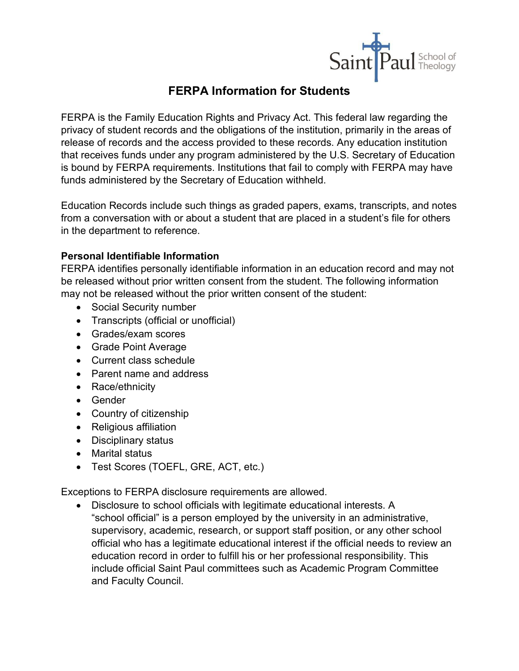

## **FERPA Information for Students**

FERPA is the Family Education Rights and Privacy Act. This federal law regarding the privacy of student records and the obligations of the institution, primarily in the areas of release of records and the access provided to these records. Any education institution that receives funds under any program administered by the U.S. Secretary of Education is bound by FERPA requirements. Institutions that fail to comply with FERPA may have funds administered by the Secretary of Education withheld.

Education Records include such things as graded papers, exams, transcripts, and notes from a conversation with or about a student that are placed in a student's file for others in the department to reference.

## **Personal Identifiable Information**

FERPA identifies personally identifiable information in an education record and may not be released without prior written consent from the student. The following information may not be released without the prior written consent of the student:

- Social Security number
- Transcripts (official or unofficial)
- Grades/exam scores
- Grade Point Average
- Current class schedule
- Parent name and address
- Race/ethnicity
- Gender
- Country of citizenship
- Religious affiliation
- Disciplinary status
- Marital status
- Test Scores (TOEFL, GRE, ACT, etc.)

Exceptions to FERPA disclosure requirements are allowed.

• Disclosure to school officials with legitimate educational interests. A "school official" is a person employed by the university in an administrative, supervisory, academic, research, or support staff position, or any other school official who has a legitimate educational interest if the official needs to review an education record in order to fulfill his or her professional responsibility. This include official Saint Paul committees such as Academic Program Committee and Faculty Council.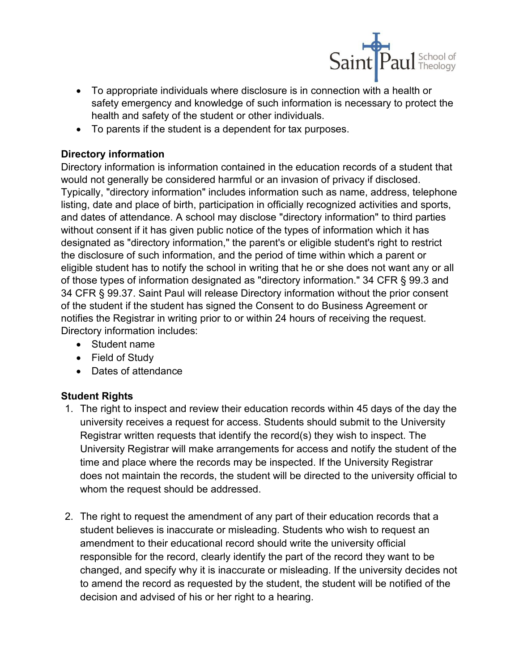

- To appropriate individuals where disclosure is in connection with a health or safety emergency and knowledge of such information is necessary to protect the health and safety of the student or other individuals.
- To parents if the student is a dependent for tax purposes.

## **Directory information**

Directory information is information contained in the education records of a student that would not generally be considered harmful or an invasion of privacy if disclosed. Typically, "directory information" includes information such as name, address, telephone listing, date and place of birth, participation in officially recognized activities and sports, and dates of attendance. A school may disclose "directory information" to third parties without consent if it has given public notice of the types of information which it has designated as "directory information," the parent's or eligible student's right to restrict the disclosure of such information, and the period of time within which a parent or eligible student has to notify the school in writing that he or she does not want any or all of those types of information designated as "directory information." 34 CFR § 99.3 and 34 CFR § 99.37. Saint Paul will release Directory information without the prior consent of the student if the student has signed the Consent to do Business Agreement or notifies the Registrar in writing prior to or within 24 hours of receiving the request. Directory information includes:

- Student name
- Field of Study
- Dates of attendance

## **Student Rights**

- 1. The right to inspect and review their education records within 45 days of the day the university receives a request for access. Students should submit to the University Registrar written requests that identify the record(s) they wish to inspect. The University Registrar will make arrangements for access and notify the student of the time and place where the records may be inspected. If the University Registrar does not maintain the records, the student will be directed to the university official to whom the request should be addressed.
- 2. The right to request the amendment of any part of their education records that a student believes is inaccurate or misleading. Students who wish to request an amendment to their educational record should write the university official responsible for the record, clearly identify the part of the record they want to be changed, and specify why it is inaccurate or misleading. If the university decides not to amend the record as requested by the student, the student will be notified of the decision and advised of his or her right to a hearing.